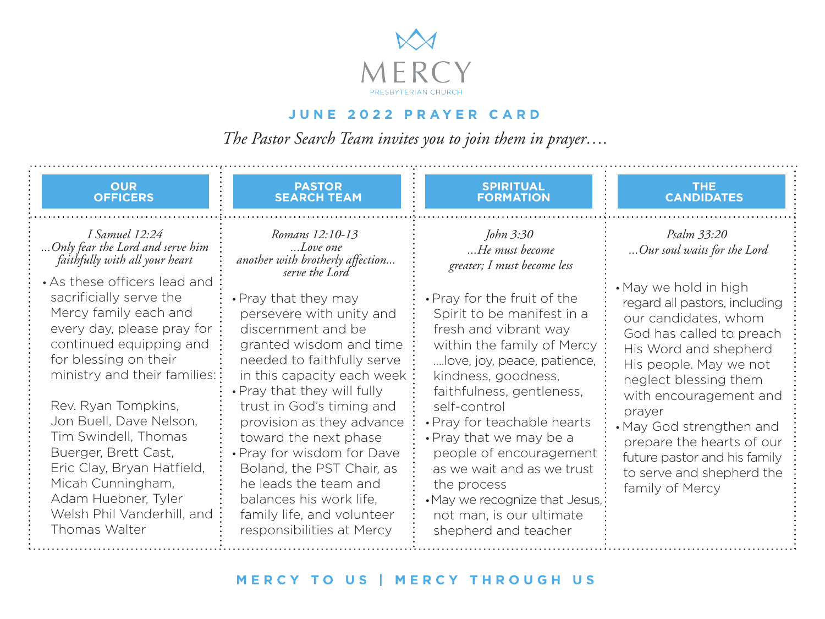

## **JUNE 2022 PRAYER CARD**

*The Pastor Search Team invites you to join them in prayer….*

| <b>OUR</b><br><b>PASTOR</b><br><b>OFFICERS</b><br><b>SEARCH TEAM</b>                                                                                                                                                                                                                                                                                                                                                                                                                                                                                                                                                                                                                                                                                                                                                                                                                                                                                                                                                                                                            | <b>SPIRITUAL</b><br><b>FORMATION</b>                                                                                                                                                                                                                                                                                                                                                                                                                                              | <b>THE</b><br><b>CANDIDATES</b>                                                                                                                                                                                                                                                                                                                                                                                   |
|---------------------------------------------------------------------------------------------------------------------------------------------------------------------------------------------------------------------------------------------------------------------------------------------------------------------------------------------------------------------------------------------------------------------------------------------------------------------------------------------------------------------------------------------------------------------------------------------------------------------------------------------------------------------------------------------------------------------------------------------------------------------------------------------------------------------------------------------------------------------------------------------------------------------------------------------------------------------------------------------------------------------------------------------------------------------------------|-----------------------------------------------------------------------------------------------------------------------------------------------------------------------------------------------------------------------------------------------------------------------------------------------------------------------------------------------------------------------------------------------------------------------------------------------------------------------------------|-------------------------------------------------------------------------------------------------------------------------------------------------------------------------------------------------------------------------------------------------------------------------------------------------------------------------------------------------------------------------------------------------------------------|
| <i>I Samuel 12:24</i><br>Romans 12:10-13<br>Only fear the Lord and serve him<br>Love one<br>faithfully with all your heart<br>another with brotherly affection<br>serve the Lord<br>• As these officers lead and<br>sacrificially serve the<br>• Pray that they may<br>Mercy family each and<br>persevere with unity and<br>every day, please pray for<br>discernment and be<br>continued equipping and<br>granted wisdom and time<br>for blessing on their<br>needed to faithfully serve<br>ministry and their families::<br>in this capacity each week<br>• Pray that they will fully<br>Rev. Ryan Tompkins.<br>trust in God's timing and<br>Jon Buell, Dave Nelson,<br>provision as they advance<br>Tim Swindell, Thomas<br>toward the next phase<br>Buerger, Brett Cast,<br>• Pray for wisdom for Dave<br>Eric Clay, Bryan Hatfield,<br>Boland, the PST Chair, as<br>Micah Cunningham.<br>he leads the team and<br>Adam Huebner, Tyler<br>balances his work life,<br>Welsh Phil Vanderhill, and<br>family life, and volunteer<br>Thomas Walter<br>responsibilities at Mercy | John 3:30<br>He must become<br>greater; I must become less<br>• Pray for the fruit of the<br>Spirit to be manifest in a<br>fresh and vibrant way<br>within the family of Mercy<br>love, joy, peace, patience,<br>kindness, goodness,<br>faithfulness, gentleness,<br>self-control<br>• Pray for teachable hearts<br>• Pray that we may be a<br>people of encouragement<br>as we wait and as we trust<br>the process<br>• May we recognize that Jesus,<br>not man, is our ultimate | Psalm 33:20<br>Our soul waits for the Lord<br>• May we hold in high<br>regard all pastors, including<br>our candidates, whom<br>God has called to preach<br>His Word and shepherd<br>His people. May we not<br>neglect blessing them<br>with encouragement and<br>prayer<br>• May God strengthen and<br>prepare the hearts of our<br>future pastor and his family<br>to serve and shepherd the<br>family of Mercy |

## **MERCY TO US | MERCY THROUGH US**